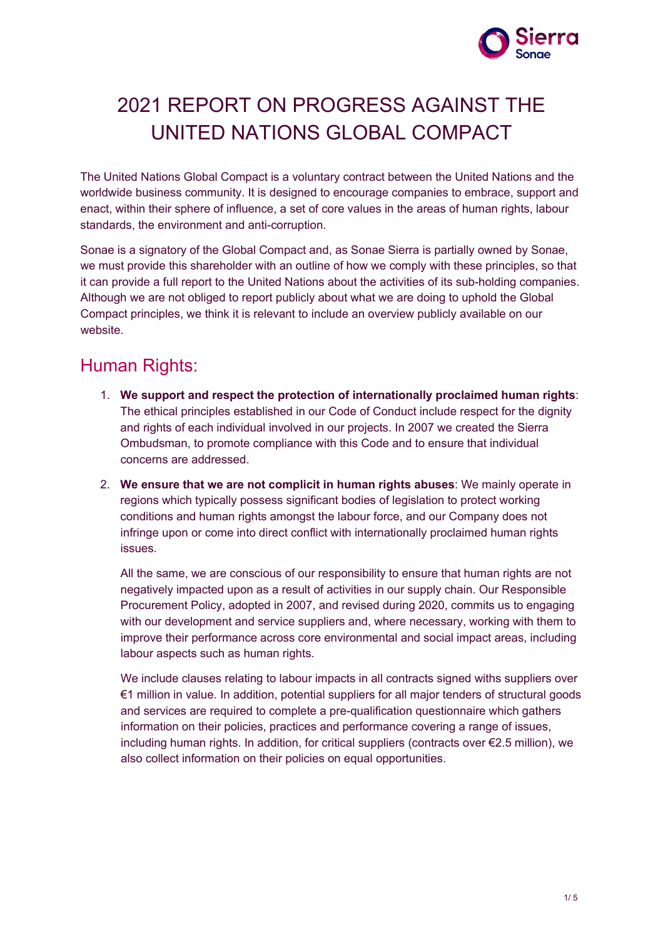

# 2021 REPORT ON PROGRESS AGAINST THE UNITED NATIONS GLOBAL COMPACT

The United Nations Global Compact is a voluntary contract between the United Nations and the worldwide business community. It is designed to encourage companies to embrace, support and enact, within their sphere of influence, a set of core values in the areas of human rights, labour standards, the environment and anti-corruption.

Sonae is a signatory of the Global Compact and, as Sonae Sierra is partially owned by Sonae, we must provide this shareholder with an outline of how we comply with these principles, so that it can provide a full report to the United Nations about the activities of its sub-holding companies. Although we are not obliged to report publicly about what we are doing to uphold the Global Compact principles, we think it is relevant to include an overview publicly available on our website.

## Human Rights:

- 1. **We support and respect the protection of internationally proclaimed human rights**: The ethical principles established in our Code of Conduct include respect for the dignity and rights of each individual involved in our projects. In 2007 we created the Sierra Ombudsman, to promote compliance with this Code and to ensure that individual concerns are addressed.
- 2. **We ensure that we are not complicit in human rights abuses**: We mainly operate in regions which typically possess significant bodies of legislation to protect working conditions and human rights amongst the labour force, and our Company does not infringe upon or come into direct conflict with internationally proclaimed human rights issues.

All the same, we are conscious of our responsibility to ensure that human rights are not negatively impacted upon as a result of activities in our supply chain. Our Responsible Procurement Policy, adopted in 2007, and revised during 2020, commits us to engaging with our development and service suppliers and, where necessary, working with them to improve their performance across core environmental and social impact areas, including labour aspects such as human rights.

We include clauses relating to labour impacts in all contracts signed withs suppliers over €1 million in value. In addition, potential suppliers for all major tenders of structural goods and services are required to complete a pre-qualification questionnaire which gathers information on their policies, practices and performance covering a range of issues, including human rights. In addition, for critical suppliers (contracts over €2.5 million), we also collect information on their policies on equal opportunities.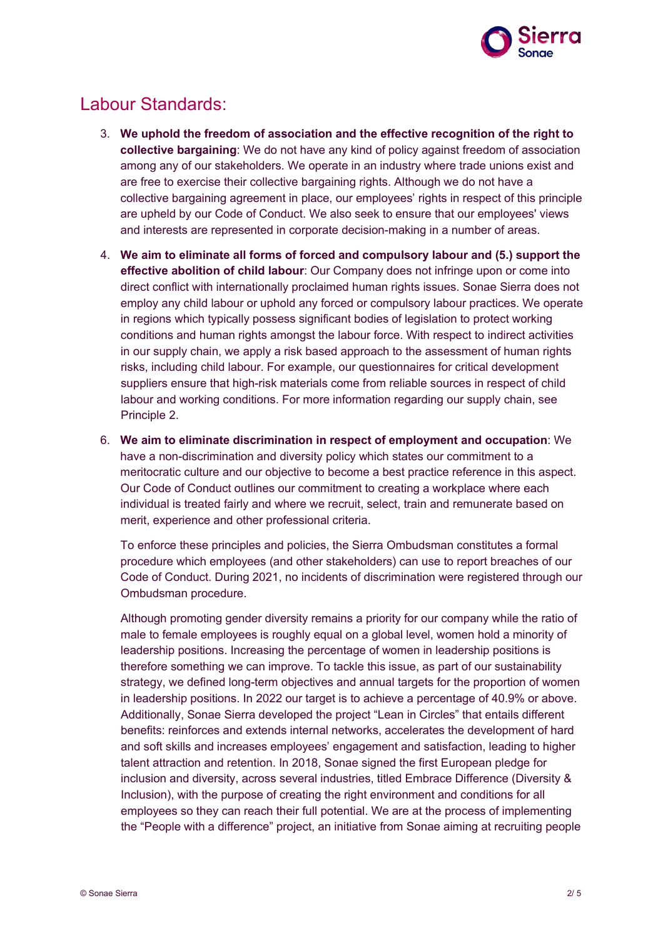

# Labour Standards:

- 3. **We uphold the freedom of association and the effective recognition of the right to collective bargaining**: We do not have any kind of policy against freedom of association among any of our stakeholders. We operate in an industry where trade unions exist and are free to exercise their collective bargaining rights. Although we do not have a collective bargaining agreement in place, our employees' rights in respect of this principle are upheld by our Code of Conduct. We also seek to ensure that our employees' views and interests are represented in corporate decision-making in a number of areas.
- 4. **We aim to eliminate all forms of forced and compulsory labour and (5.) support the effective abolition of child labour**: Our Company does not infringe upon or come into direct conflict with internationally proclaimed human rights issues. Sonae Sierra does not employ any child labour or uphold any forced or compulsory labour practices. We operate in regions which typically possess significant bodies of legislation to protect working conditions and human rights amongst the labour force. With respect to indirect activities in our supply chain, we apply a risk based approach to the assessment of human rights risks, including child labour. For example, our questionnaires for critical development suppliers ensure that high-risk materials come from reliable sources in respect of child labour and working conditions. For more information regarding our supply chain, see Principle 2.
- 6. **We aim to eliminate discrimination in respect of employment and occupation**: We have a non-discrimination and diversity policy which states our commitment to a meritocratic culture and our objective to become a best practice reference in this aspect. Our Code of Conduct outlines our commitment to creating a workplace where each individual is treated fairly and where we recruit, select, train and remunerate based on merit, experience and other professional criteria.

To enforce these principles and policies, the Sierra Ombudsman constitutes a formal procedure which employees (and other stakeholders) can use to report breaches of our Code of Conduct. During 2021, no incidents of discrimination were registered through our Ombudsman procedure.

Although promoting gender diversity remains a priority for our company while the ratio of male to female employees is roughly equal on a global level, women hold a minority of leadership positions. Increasing the percentage of women in leadership positions is therefore something we can improve. To tackle this issue, as part of our sustainability strategy, we defined long-term objectives and annual targets for the proportion of women in leadership positions. In 2022 our target is to achieve a percentage of 40.9% or above. Additionally, Sonae Sierra developed the project "Lean in Circles" that entails different benefits: reinforces and extends internal networks, accelerates the development of hard and soft skills and increases employees' engagement and satisfaction, leading to higher talent attraction and retention. In 2018, Sonae signed the first European pledge for inclusion and diversity, across several industries, titled Embrace Difference (Diversity & Inclusion), with the purpose of creating the right environment and conditions for all employees so they can reach their full potential. We are at the process of implementing the "People with a difference" project, an initiative from Sonae aiming at recruiting people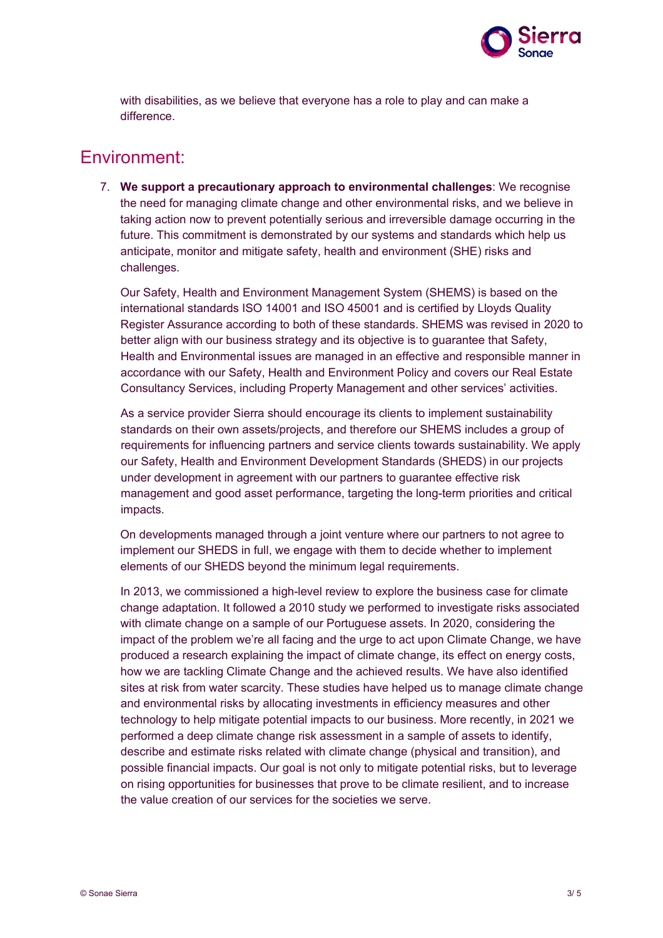

with disabilities, as we believe that everyone has a role to play and can make a difference.

#### Environment:

7. **We support a precautionary approach to environmental challenges**: We recognise the need for managing climate change and other environmental risks, and we believe in taking action now to prevent potentially serious and irreversible damage occurring in the future. This commitment is demonstrated by our systems and standards which help us anticipate, monitor and mitigate safety, health and environment (SHE) risks and challenges.

Our Safety, Health and Environment Management System (SHEMS) is based on the international standards ISO 14001 and ISO 45001 and is certified by Lloyds Quality Register Assurance according to both of these standards. SHEMS was revised in 2020 to better align with our business strategy and its objective is to guarantee that Safety, Health and Environmental issues are managed in an effective and responsible manner in accordance with our Safety, Health and Environment Policy and covers our Real Estate Consultancy Services, including Property Management and other services' activities.

As a service provider Sierra should encourage its clients to implement sustainability standards on their own assets/projects, and therefore our SHEMS includes a group of requirements for influencing partners and service clients towards sustainability. We apply our Safety, Health and Environment Development Standards (SHEDS) in our projects under development in agreement with our partners to guarantee effective risk management and good asset performance, targeting the long-term priorities and critical impacts.

On developments managed through a joint venture where our partners to not agree to implement our SHEDS in full, we engage with them to decide whether to implement elements of our SHEDS beyond the minimum legal requirements.

In 2013, we commissioned a high-level review to explore the business case for climate change adaptation. It followed a 2010 study we performed to investigate risks associated with climate change on a sample of our Portuguese assets. In 2020, considering the impact of the problem we're all facing and the urge to act upon Climate Change, we have produced a research explaining the impact of climate change, its effect on energy costs, how we are tackling Climate Change and the achieved results. We have also identified sites at risk from water scarcity. These studies have helped us to manage climate change and environmental risks by allocating investments in efficiency measures and other technology to help mitigate potential impacts to our business. More recently, in 2021 we performed a deep climate change risk assessment in a sample of assets to identify, describe and estimate risks related with climate change (physical and transition), and possible financial impacts. Our goal is not only to mitigate potential risks, but to leverage on rising opportunities for businesses that prove to be climate resilient, and to increase the value creation of our services for the societies we serve.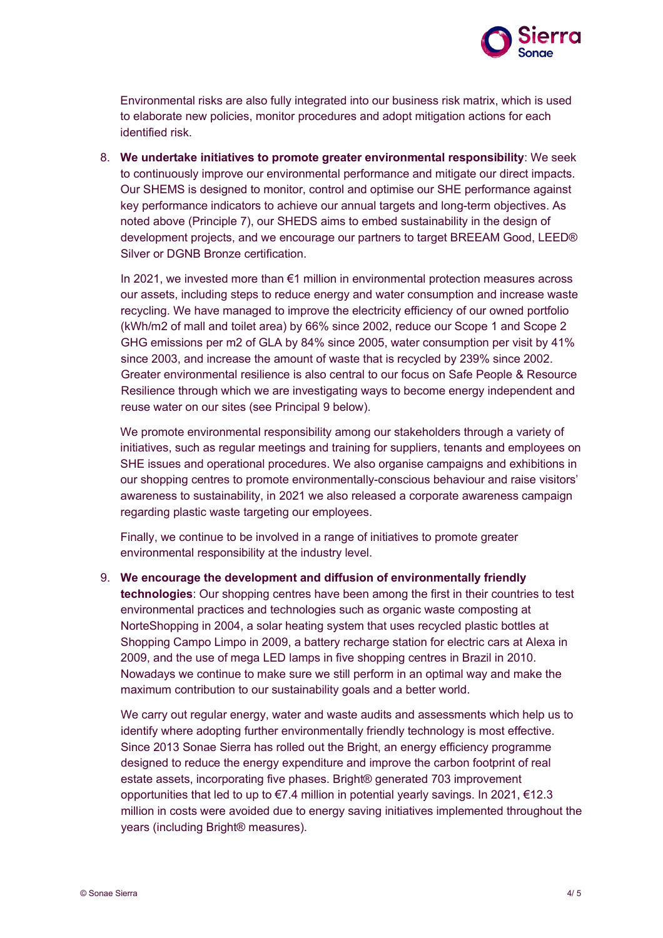

Environmental risks are also fully integrated into our business risk matrix, which is used to elaborate new policies, monitor procedures and adopt mitigation actions for each identified risk.

8. **We undertake initiatives to promote greater environmental responsibility**: We seek to continuously improve our environmental performance and mitigate our direct impacts. Our SHEMS is designed to monitor, control and optimise our SHE performance against key performance indicators to achieve our annual targets and long-term objectives. As noted above (Principle 7), our SHEDS aims to embed sustainability in the design of development projects, and we encourage our partners to target BREEAM Good, LEED® Silver or DGNB Bronze certification.

In 2021, we invested more than €1 million in environmental protection measures across our assets, including steps to reduce energy and water consumption and increase waste recycling. We have managed to improve the electricity efficiency of our owned portfolio (kWh/m2 of mall and toilet area) by 66% since 2002, reduce our Scope 1 and Scope 2 GHG emissions per m2 of GLA by 84% since 2005, water consumption per visit by 41% since 2003, and increase the amount of waste that is recycled by 239% since 2002. Greater environmental resilience is also central to our focus on Safe People & Resource Resilience through which we are investigating ways to become energy independent and reuse water on our sites (see Principal 9 below).

We promote environmental responsibility among our stakeholders through a variety of initiatives, such as regular meetings and training for suppliers, tenants and employees on SHE issues and operational procedures. We also organise campaigns and exhibitions in our shopping centres to promote environmentally-conscious behaviour and raise visitors' awareness to sustainability, in 2021 we also released a corporate awareness campaign regarding plastic waste targeting our employees.

Finally, we continue to be involved in a range of initiatives to promote greater environmental responsibility at the industry level.

9. **We encourage the development and diffusion of environmentally friendly technologies**: Our shopping centres have been among the first in their countries to test environmental practices and technologies such as organic waste composting at NorteShopping in 2004, a solar heating system that uses recycled plastic bottles at Shopping Campo Limpo in 2009, a battery recharge station for electric cars at Alexa in 2009, and the use of mega LED lamps in five shopping centres in Brazil in 2010. Nowadays we continue to make sure we still perform in an optimal way and make the maximum contribution to our sustainability goals and a better world.

We carry out regular energy, water and waste audits and assessments which help us to identify where adopting further environmentally friendly technology is most effective. Since 2013 Sonae Sierra has rolled out the Bright, an energy efficiency programme designed to reduce the energy expenditure and improve the carbon footprint of real estate assets, incorporating five phases. Bright® generated 703 improvement opportunities that led to up to €7.4 million in potential yearly savings. In 2021, €12.3 million in costs were avoided due to energy saving initiatives implemented throughout the years (including Bright® measures).